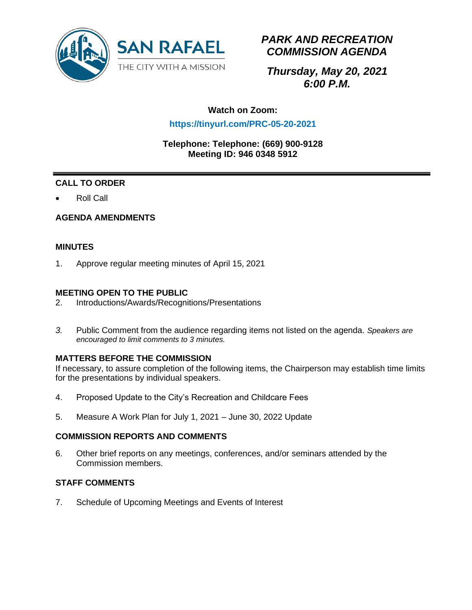

# *PARK AND RECREATION COMMISSION AGENDA*

*Thursday, May 20, 2021 6:00 P.M.*

## **Watch on Zoom:**

## **https://tinyurl.com/PRC-05-20-2021**

#### **Telephone: Telephone: (669) 900-9128 Meeting ID: 946 0348 5912**

## **CALL TO ORDER**

• Roll Call

### **AGENDA AMENDMENTS**

#### **MINUTES**

1. Approve regular meeting minutes of April 15, 2021

### **MEETING OPEN TO THE PUBLIC**

- 2. Introductions/Awards/Recognitions/Presentations
- *3.* Public Comment from the audience regarding items not listed on the agenda. *Speakers are encouraged to limit comments to 3 minutes.*

### **MATTERS BEFORE THE COMMISSION**

If necessary, to assure completion of the following items, the Chairperson may establish time limits for the presentations by individual speakers.

- 4. Proposed Update to the City's Recreation and Childcare Fees
- 5. Measure A Work Plan for July 1, 2021 June 30, 2022 Update

#### **COMMISSION REPORTS AND COMMENTS**

6. Other brief reports on any meetings, conferences, and/or seminars attended by the Commission members.

#### **STAFF COMMENTS**

7. Schedule of Upcoming Meetings and Events of Interest